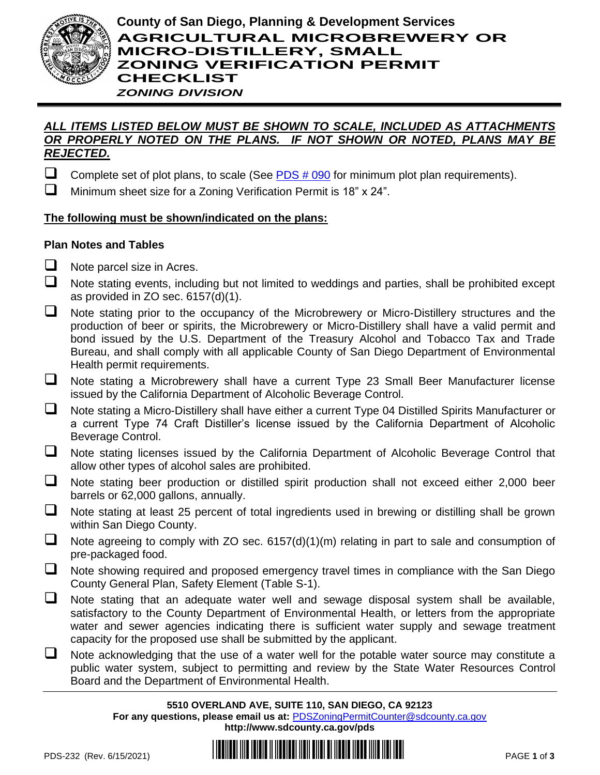

# *ALL ITEMS LISTED BELOW MUST BE SHOWN TO SCALE, INCLUDED AS ATTACHMENTS OR PROPERLY NOTED ON THE PLANS. IF NOT SHOWN OR NOTED, PLANS MAY BE REJECTED.*

Complete set of plot plans, to scale (See  $PDS # 090$  for minimum plot plan requirements).

❑ Minimum sheet size for a Zoning Verification Permit is 18" x 24".

# **The following must be shown/indicated on the plans:**

# **Plan Notes and Tables**

- $\Box$  Note parcel size in Acres.
- ❑ Note stating events, including but not limited to weddings and parties, shall be prohibited except as provided in ZO sec. 6157(d)(1).
- ❑ Note stating prior to the occupancy of the Microbrewery or Micro-Distillery structures and the production of beer or spirits, the Microbrewery or Micro-Distillery shall have a valid permit and bond issued by the U.S. Department of the Treasury Alcohol and Tobacco Tax and Trade Bureau, and shall comply with all applicable County of San Diego Department of Environmental Health permit requirements.
- ❑ Note stating a Microbrewery shall have a current Type 23 Small Beer Manufacturer license issued by the California Department of Alcoholic Beverage Control.
- ❑ Note stating a Micro-Distillery shall have either a current Type 04 Distilled Spirits Manufacturer or a current Type 74 Craft Distiller's license issued by the California Department of Alcoholic Beverage Control.
- ❑ Note stating licenses issued by the California Department of Alcoholic Beverage Control that allow other types of alcohol sales are prohibited.
- ❑ Note stating beer production or distilled spirit production shall not exceed either 2,000 beer barrels or 62,000 gallons, annually.
- ❑ Note stating at least 25 percent of total ingredients used in brewing or distilling shall be grown within San Diego County.
- $\Box$  Note agreeing to comply with ZO sec. 6157(d)(1)(m) relating in part to sale and consumption of pre-packaged food.
- ❑ Note showing required and proposed emergency travel times in compliance with the San Diego County General Plan, Safety Element (Table S-1).
- ❑ Note stating that an adequate water well and sewage disposal system shall be available, satisfactory to the County Department of Environmental Health, or letters from the appropriate water and sewer agencies indicating there is sufficient water supply and sewage treatment capacity for the proposed use shall be submitted by the applicant.
- ❑ Note acknowledging that the use of a water well for the potable water source may constitute a public water system, subject to permitting and review by the State Water Resources Control Board and the Department of Environmental Health.

**5510 OVERLAND AVE, SUITE 110, SAN DIEGO, CA 92123 For any questions, please email us at:** [PDSZoningPermitCounter@sdcounty.ca.gov](mailto:PDSZoningPermitCounter@sdcounty.ca.gov) **<http://www.sdcounty.ca.gov/pds>**

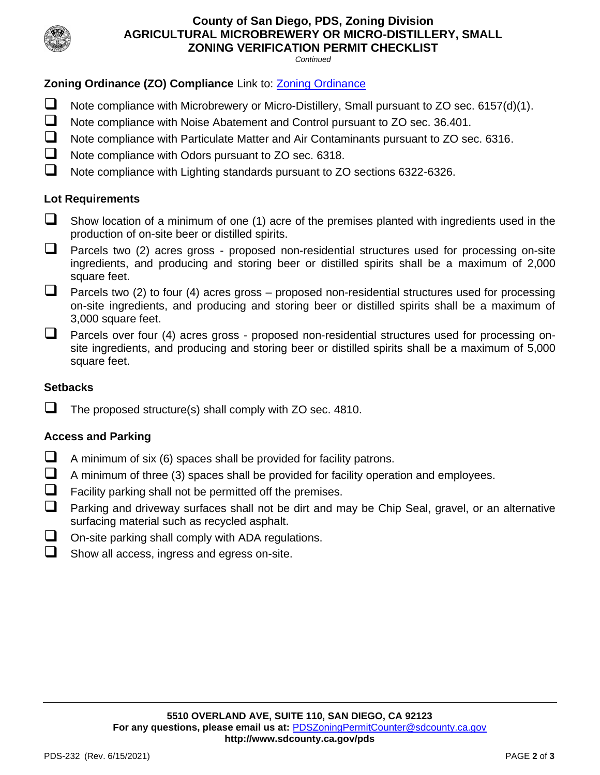

# **County of San Diego, PDS, Zoning Division AGRICULTURAL MICROBREWERY OR MICRO-DISTILLERY, SMALL ZONING VERIFICATION PERMIT CHECKLIST**

*Continued*

# **Zoning Ordinance (ZO) Compliance** Link to: [Zoning Ordinance](http://www.sdcounty.ca.gov/pds/zoning/index.html)

- ❑ Note compliance with Microbrewery or Micro-Distillery, Small pursuant to ZO sec. 6157(d)(1).
- ❑ Note compliance with Noise Abatement and Control pursuant to ZO sec. 36.401.
- ❑ Note compliance with Particulate Matter and Air Contaminants pursuant to ZO sec. 6316.
- ❑ Note compliance with Odors pursuant to ZO sec. 6318.
- ❑ Note compliance with Lighting standards pursuant to ZO sections 6322-6326.

# **Lot Requirements**

- $\Box$  Show location of a minimum of one (1) acre of the premises planted with ingredients used in the production of on-site beer or distilled spirits.
- ❑ Parcels two (2) acres gross proposed non-residential structures used for processing on-site ingredients, and producing and storing beer or distilled spirits shall be a maximum of 2,000 square feet.
- $\Box$  Parcels two (2) to four (4) acres gross proposed non-residential structures used for processing on-site ingredients, and producing and storing beer or distilled spirits shall be a maximum of 3,000 square feet.
- □ Parcels over four (4) acres gross proposed non-residential structures used for processing onsite ingredients, and producing and storing beer or distilled spirits shall be a maximum of 5,000 square feet.

# **Setbacks**

❑ The proposed structure(s) shall comply with ZO sec. 4810.

# **Access and Parking**

- $\Box$  A minimum of six (6) spaces shall be provided for facility patrons.
- $\Box$  A minimum of three (3) spaces shall be provided for facility operation and employees.
- $\Box$  Facility parking shall not be permitted off the premises.
- Parking and driveway surfaces shall not be dirt and may be Chip Seal, gravel, or an alternative surfacing material such as recycled asphalt.
- $\Box$  On-site parking shall comply with ADA regulations.
- ❑ Show all access, ingress and egress on-site.